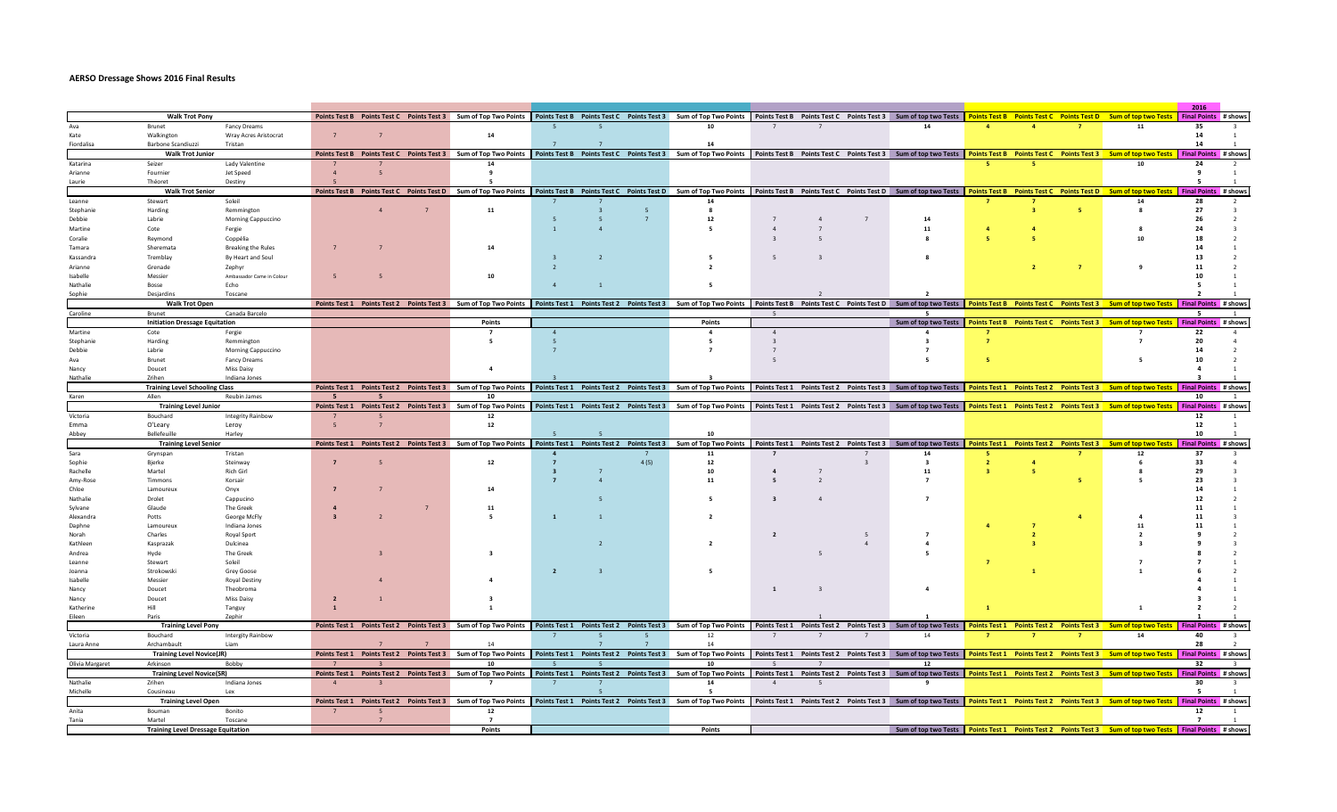## **AERSO Dressage Shows 2016 Final Results**

|                     |                                                     |                           |           |                          |                                                                                                                                                                                                                                |                |                |                                                                                                                                                                                                   |                |                |                                                                                                          | 2016                    |  |                |                                                                   |                             |  |  |
|---------------------|-----------------------------------------------------|---------------------------|-----------|--------------------------|--------------------------------------------------------------------------------------------------------------------------------------------------------------------------------------------------------------------------------|----------------|----------------|---------------------------------------------------------------------------------------------------------------------------------------------------------------------------------------------------|----------------|----------------|----------------------------------------------------------------------------------------------------------|-------------------------|--|----------------|-------------------------------------------------------------------|-----------------------------|--|--|
|                     | <b>Walk Trot Pony</b>                               |                           |           |                          | Points Test B Points Test C Points Test 3 Sum of Top Two Points Points Test B Points Test C Points Test 3 Sum of Top Two Points Points Test B Sum of Top Two Points Points Test B Points Test C Points Test B Points Test B Po |                |                |                                                                                                                                                                                                   |                |                |                                                                                                          |                         |  |                |                                                                   | Final Points # shows        |  |  |
|                     | Brunet                                              | <b>Fancy Dreams</b>       |           |                          |                                                                                                                                                                                                                                |                |                |                                                                                                                                                                                                   |                |                | 14                                                                                                       |                         |  |                | 11                                                                | 35                          |  |  |
| Kate                | Walkington                                          | Wray Acres Aristocrat     |           |                          | 14                                                                                                                                                                                                                             |                |                |                                                                                                                                                                                                   |                |                |                                                                                                          |                         |  |                |                                                                   | 14                          |  |  |
| Fiordalisa          | Barbone Scandiuzzi                                  | Tristan                   |           |                          |                                                                                                                                                                                                                                |                |                | 14                                                                                                                                                                                                |                |                |                                                                                                          |                         |  |                |                                                                   | 14                          |  |  |
|                     | <b>Walk Trot Junior</b>                             |                           |           |                          | Points Test B Points Test C Points Test 3 Sum of Top Two Points   Points Test B Points Test C Points Test C Points Test C Sum of Top Two Points   Points Test B Points Test B Clints Test B Clints Test C Points Test B Points |                |                |                                                                                                                                                                                                   |                |                |                                                                                                          |                         |  |                |                                                                   | Final Points # shows        |  |  |
| Katarina            | Seizer                                              | Lady Valentine            |           |                          |                                                                                                                                                                                                                                |                |                |                                                                                                                                                                                                   |                |                |                                                                                                          |                         |  |                | 10                                                                | 24                          |  |  |
| Arianne             | Fournier                                            | Jet Speed                 | $\Lambda$ |                          |                                                                                                                                                                                                                                |                |                |                                                                                                                                                                                                   |                |                |                                                                                                          |                         |  |                |                                                                   |                             |  |  |
| Laurie              | Théoret                                             | Destiny                   |           |                          |                                                                                                                                                                                                                                |                |                |                                                                                                                                                                                                   |                |                |                                                                                                          |                         |  |                |                                                                   |                             |  |  |
|                     | <b>Walk Trot Senior</b>                             |                           |           |                          | Points Test B Points Test C Points Test D Sum of Top Two Points   Points Test B Points Test C Points Test D Sum of Top Two Points Points Test D Sum of Top Two Points Test D Sum of top two Tests   Points Test B Points Test  |                |                |                                                                                                                                                                                                   |                |                |                                                                                                          |                         |  |                |                                                                   |                             |  |  |
| Leanne              | Stewart                                             | Soleil                    |           |                          |                                                                                                                                                                                                                                |                |                | 14                                                                                                                                                                                                |                |                |                                                                                                          |                         |  |                | 14                                                                | 28                          |  |  |
| Stephanie           | Harding                                             | Remmington                |           | $\Delta$                 | 11                                                                                                                                                                                                                             |                | -5             | 8                                                                                                                                                                                                 |                |                |                                                                                                          |                         |  | -5.            | $\mathbf{R}$                                                      | 27                          |  |  |
| Debbie              | Labrie                                              | Morning Cappuccino        |           |                          |                                                                                                                                                                                                                                |                | $\overline{7}$ | 12                                                                                                                                                                                                |                | $\overline{7}$ | 14                                                                                                       |                         |  |                |                                                                   |                             |  |  |
| Martine             | Cote                                                | Fergie                    |           |                          |                                                                                                                                                                                                                                |                |                |                                                                                                                                                                                                   |                |                | 11                                                                                                       |                         |  |                |                                                                   |                             |  |  |
| Coralie             | Revmond                                             | Coppélia                  |           |                          |                                                                                                                                                                                                                                |                |                |                                                                                                                                                                                                   |                |                |                                                                                                          |                         |  |                |                                                                   |                             |  |  |
| Tamara              | Sheremata                                           | <b>Breaking the Rules</b> |           |                          | 14                                                                                                                                                                                                                             |                |                |                                                                                                                                                                                                   |                |                |                                                                                                          |                         |  |                |                                                                   |                             |  |  |
| Kassandr            | Tremblay                                            | By Heart and Soul         |           |                          |                                                                                                                                                                                                                                |                |                |                                                                                                                                                                                                   |                |                |                                                                                                          |                         |  |                |                                                                   |                             |  |  |
| Arianne             | Grenade                                             | Zephyr                    |           |                          |                                                                                                                                                                                                                                |                |                |                                                                                                                                                                                                   |                |                |                                                                                                          |                         |  | $\overline{7}$ |                                                                   |                             |  |  |
| Isabelle            | Messier                                             | Ambassador Came in Colour |           |                          | 10                                                                                                                                                                                                                             |                |                |                                                                                                                                                                                                   |                |                |                                                                                                          |                         |  |                |                                                                   |                             |  |  |
| Nathalie            | Bosse                                               | Echo                      |           |                          |                                                                                                                                                                                                                                |                |                |                                                                                                                                                                                                   |                |                |                                                                                                          |                         |  |                |                                                                   |                             |  |  |
| Sophie              | Desiardins                                          | Toscane                   |           |                          |                                                                                                                                                                                                                                |                |                |                                                                                                                                                                                                   |                |                |                                                                                                          |                         |  |                |                                                                   |                             |  |  |
|                     | <b>Walk Trot Open</b>                               |                           |           |                          | Points Test 1    Points Test 2    Points Test 3    Sum of Top Two Points                                                                                                                                                       |                |                | Points Test 1 Points Test 2 Points Test 3 Sum of Top Two Points   Points Test B Points Test C Points Test D Sum of top two Tests   Points Test B Points Test C Points Test 3 Sum of top two Tests |                |                |                                                                                                          |                         |  |                |                                                                   | <b>Final Points</b> # shows |  |  |
| Caroline            | Brunet                                              | Canada Barcelo            |           |                          |                                                                                                                                                                                                                                |                |                |                                                                                                                                                                                                   |                |                |                                                                                                          |                         |  |                |                                                                   |                             |  |  |
|                     | <b>Initiation Dressage Equitation</b>               |                           |           |                          | Points                                                                                                                                                                                                                         |                |                | Points                                                                                                                                                                                            |                |                | Sum of top two Tests   Points Test B Points Test C Points Test 3 Sum of top two Tests                    |                         |  |                |                                                                   | Final Points # shows        |  |  |
| Martine             | Cote                                                | Fergie                    |           |                          |                                                                                                                                                                                                                                |                |                | $\overline{4}$                                                                                                                                                                                    | $\overline{4}$ |                |                                                                                                          |                         |  |                |                                                                   | 22                          |  |  |
| Stephanie           | Harding                                             | Remmingtor                |           |                          |                                                                                                                                                                                                                                |                |                |                                                                                                                                                                                                   |                |                |                                                                                                          | $\overline{7}$          |  |                |                                                                   | 20                          |  |  |
| Debbie              | Labrie                                              | Morning Cappuccino        |           |                          |                                                                                                                                                                                                                                |                |                |                                                                                                                                                                                                   |                |                |                                                                                                          |                         |  |                |                                                                   |                             |  |  |
| Ava                 | <b>Brunet</b>                                       | <b>Fancy Dreams</b>       |           |                          |                                                                                                                                                                                                                                |                |                |                                                                                                                                                                                                   |                |                |                                                                                                          |                         |  |                |                                                                   |                             |  |  |
| Nancy               | Doucet                                              | Miss Daisy                |           |                          |                                                                                                                                                                                                                                |                |                |                                                                                                                                                                                                   |                |                |                                                                                                          |                         |  |                |                                                                   |                             |  |  |
| Nathalie            | <b>7rihen</b>                                       | Indiana Jones             |           |                          |                                                                                                                                                                                                                                |                |                |                                                                                                                                                                                                   |                |                |                                                                                                          |                         |  |                |                                                                   |                             |  |  |
|                     | <b>Training Level Schooling Class</b>               |                           |           |                          | Points Test 1    Points Test 2    Points Test 3    Bum of Top Two Points                                                                                                                                                       |                |                | Points Test 1 Points Test 2 Points Test 3 Sum of Top Two Points Points Test 1 Points Test 2 Points Test 3 Sum of top two Tests                                                                    |                |                |                                                                                                          |                         |  |                | Points Test 1  Points Test 2  Points Test 3  Sum of top two Tests | <b>Final Points</b> # show  |  |  |
| Karen               | Allen                                               | Reubin James              |           |                          | 10                                                                                                                                                                                                                             |                |                |                                                                                                                                                                                                   |                |                |                                                                                                          |                         |  |                |                                                                   | 10                          |  |  |
|                     | <b>Training Level Junior</b>                        |                           |           |                          | Points Test 1 Points Test 2 Points Test 3 Sum of Top Two Points   Points Test 1 Points Test 1 Points Test 2 Points Test 3 Sum of Top Two Points   Points Test 1 Points Test 2 Points Test 2 Points Test 2 Points Test 2 Points |                |                |                                                                                                                                                                                                   |                |                |                                                                                                          |                         |  |                |                                                                   | Final Points # shows        |  |  |
| Victoria            | Bouchard                                            | Integrity Rainbow         |           |                          | 12                                                                                                                                                                                                                             |                |                |                                                                                                                                                                                                   |                |                |                                                                                                          |                         |  |                |                                                                   | 12                          |  |  |
| Emma                | O'Leary                                             | Leroy                     | 5         | $\overline{7}$           | 12                                                                                                                                                                                                                             |                |                |                                                                                                                                                                                                   |                |                |                                                                                                          |                         |  |                |                                                                   | 12                          |  |  |
| Abbey               | <b>Bellefeuille</b>                                 | Harley                    |           |                          |                                                                                                                                                                                                                                |                |                | 10                                                                                                                                                                                                |                |                |                                                                                                          |                         |  |                |                                                                   | 10                          |  |  |
|                     | <b>Training Level Senior</b>                        |                           |           |                          | Points Test 1 Points Test 2 Points Test 3 Sum of Top Two Points   Points Test 1 Points Test 2 Points Test 3 Sum of Top Two Points   Boints Test 2 Points Test 2 Points Test 2 Points Test 2 Points Test 2 Points Test 2 Points |                |                |                                                                                                                                                                                                   |                |                |                                                                                                          |                         |  |                |                                                                   |                             |  |  |
| Sara                | Grynspan                                            | Tristan                   |           |                          |                                                                                                                                                                                                                                |                |                | 11                                                                                                                                                                                                | $\overline{7}$ |                | 14                                                                                                       | - 5                     |  |                | 12                                                                | 37                          |  |  |
| Sophie              | Bjerke                                              | Steinway                  |           | $\overline{\phantom{a}}$ | 12                                                                                                                                                                                                                             | $\overline{z}$ | 4(5)           | 12                                                                                                                                                                                                |                |                | $\overline{\mathbf{a}}$                                                                                  | $\overline{2}$          |  |                |                                                                   | 33                          |  |  |
| Rachelle            | Martel                                              | Rich Girl                 |           |                          |                                                                                                                                                                                                                                |                |                | 10                                                                                                                                                                                                |                |                | 11                                                                                                       | $\overline{\mathbf{3}}$ |  |                |                                                                   | 29                          |  |  |
| Amv-Rose            | Timmons                                             | Korsair                   |           |                          |                                                                                                                                                                                                                                |                |                |                                                                                                                                                                                                   | 5              |                |                                                                                                          |                         |  | -5             |                                                                   |                             |  |  |
| Chloe               | Lamoureux                                           | Onyx                      |           |                          | 14                                                                                                                                                                                                                             |                |                |                                                                                                                                                                                                   |                |                |                                                                                                          |                         |  |                |                                                                   |                             |  |  |
| Nathalie            | Drolet                                              | Cappucino                 |           |                          |                                                                                                                                                                                                                                |                |                |                                                                                                                                                                                                   |                |                |                                                                                                          |                         |  |                |                                                                   |                             |  |  |
| Sylvane             | Glaude                                              | The Greek                 |           |                          |                                                                                                                                                                                                                                |                |                |                                                                                                                                                                                                   |                |                |                                                                                                          |                         |  |                |                                                                   |                             |  |  |
| Alexandra           | Potts                                               | George McFly              |           |                          |                                                                                                                                                                                                                                |                |                |                                                                                                                                                                                                   |                |                |                                                                                                          |                         |  |                |                                                                   |                             |  |  |
| Daphne              | Lamoureux                                           | Indiana Jones             |           |                          |                                                                                                                                                                                                                                |                |                |                                                                                                                                                                                                   |                |                |                                                                                                          |                         |  |                | 11                                                                |                             |  |  |
| Norah               | Charles                                             | Royal Sport               |           |                          |                                                                                                                                                                                                                                |                |                |                                                                                                                                                                                                   | $\overline{2}$ |                |                                                                                                          |                         |  |                |                                                                   |                             |  |  |
| Kathleer            | Kasprazak                                           | Dulcinea                  |           |                          |                                                                                                                                                                                                                                |                |                |                                                                                                                                                                                                   |                |                |                                                                                                          |                         |  |                |                                                                   |                             |  |  |
| Andrea              | Hyde                                                | The Greek                 |           |                          |                                                                                                                                                                                                                                |                |                |                                                                                                                                                                                                   |                |                |                                                                                                          |                         |  |                |                                                                   |                             |  |  |
| Leanne              | Stewart                                             | Soleil                    |           |                          |                                                                                                                                                                                                                                |                |                |                                                                                                                                                                                                   |                |                |                                                                                                          |                         |  |                |                                                                   |                             |  |  |
| Joanna              | Strokowski                                          | Grey Goose                |           |                          |                                                                                                                                                                                                                                |                |                |                                                                                                                                                                                                   |                |                |                                                                                                          |                         |  |                |                                                                   |                             |  |  |
| Isabelle            | Messier                                             | Royal Destiny             |           |                          |                                                                                                                                                                                                                                |                |                |                                                                                                                                                                                                   |                |                | $\overline{a}$                                                                                           |                         |  |                |                                                                   |                             |  |  |
| Nancy<br>Nancy      | Doucet                                              | Theobroma<br>Miss Daisy   |           |                          |                                                                                                                                                                                                                                |                |                |                                                                                                                                                                                                   | $\mathbf{1}$   |                |                                                                                                          |                         |  |                |                                                                   |                             |  |  |
|                     | Doucet<br>Hill                                      |                           |           |                          |                                                                                                                                                                                                                                |                |                |                                                                                                                                                                                                   |                |                |                                                                                                          |                         |  |                |                                                                   |                             |  |  |
| Katherine<br>Fileen | Paris                                               | Tanguy<br>Zephir          |           |                          |                                                                                                                                                                                                                                |                |                |                                                                                                                                                                                                   |                |                |                                                                                                          |                         |  |                |                                                                   |                             |  |  |
|                     |                                                     |                           |           |                          |                                                                                                                                                                                                                                |                |                |                                                                                                                                                                                                   |                |                |                                                                                                          |                         |  |                |                                                                   |                             |  |  |
|                     | <b>Training Level Pony</b>                          |                           |           |                          | Points Test1 Points Test2 Points Test3 Sum of Top Two Points   Points Test1 Points Test1 Points Test3 Sum of Top Two Points   Points Test1 Points Test2 Points Test3 Sum of top two Tests                                      |                |                |                                                                                                                                                                                                   |                |                |                                                                                                          |                         |  |                |                                                                   | <b>Final Points</b> # shows |  |  |
| Victoria            | Bouchard                                            | <b>Intergity Rainbow</b>  |           |                          |                                                                                                                                                                                                                                |                | -5             | 12                                                                                                                                                                                                |                |                | 14                                                                                                       |                         |  |                | 14                                                                | 40                          |  |  |
| Laura Anne          | Archambault                                         | Liam                      |           |                          | 14                                                                                                                                                                                                                             |                |                | 14                                                                                                                                                                                                |                |                |                                                                                                          |                         |  |                | <b>Sum of top two Tests</b>                                       | 28                          |  |  |
|                     | <b>Training Level Novice(JR)</b>                    |                           |           |                          | Points Test 1 Points Test 2 Points Test 3 Sum of Top Two Points   Points Test 1 Points Test 2 Points Test 3 Sum of Top Two Points   Points Test 1 Points Test 2 Points Test 3 Sum of top two Tests   Points Test 1 Points Test |                |                |                                                                                                                                                                                                   |                |                |                                                                                                          |                         |  |                |                                                                   | Final Points # shows        |  |  |
| Olivia Margaret     | Arkinson                                            | Bobby                     |           |                          | 10                                                                                                                                                                                                                             |                |                | 10                                                                                                                                                                                                |                |                | 12                                                                                                       |                         |  |                |                                                                   | 32                          |  |  |
|                     | <b>Training Level Novice(SR)</b>                    |                           |           |                          | Points Test 1 Points Test 2 Points Test 3 Sum of Top Two Points Points Test 1 Points Test 1 Points Test 2 Points Test 3 Sum of Top Two Points   Points Test 2 Points Points Points Test 2 Points Test 2 Points Test 2 Points T |                |                |                                                                                                                                                                                                   |                |                |                                                                                                          |                         |  |                |                                                                   |                             |  |  |
| Nathalie            | Zrihen                                              | Indiana Jones             | $\Delta$  |                          |                                                                                                                                                                                                                                |                |                | 14                                                                                                                                                                                                | $\Delta$       |                |                                                                                                          |                         |  |                |                                                                   | 30                          |  |  |
| Michelle            | Cousineau                                           | lex                       |           |                          |                                                                                                                                                                                                                                |                |                |                                                                                                                                                                                                   |                |                |                                                                                                          |                         |  |                |                                                                   |                             |  |  |
|                     | <b>Training Level Open</b>                          |                           |           |                          | Points Test1 Points Test2 Points Test3 Sum of Top Two Points   Points Test1 Points Test1 Points Test2 Points Test3 Sum of Top Two Points   Points Test1 Points Test1 Points Test1 Points Test1 Points Test1 Points Test1 Point |                |                |                                                                                                                                                                                                   |                |                |                                                                                                          |                         |  |                |                                                                   |                             |  |  |
| Anita               | Bouman                                              | Bonito                    |           | -5                       | 12                                                                                                                                                                                                                             |                |                |                                                                                                                                                                                                   |                |                |                                                                                                          |                         |  |                |                                                                   | 12                          |  |  |
|                     |                                                     |                           |           |                          |                                                                                                                                                                                                                                |                |                |                                                                                                                                                                                                   |                |                |                                                                                                          |                         |  |                |                                                                   |                             |  |  |
| Tanja               | Martel<br><b>Training Level Dressage Equitation</b> | Toscane                   |           |                          | Points                                                                                                                                                                                                                         |                |                | Points                                                                                                                                                                                            |                |                | Sum of top two Tests Points Test 1 Points Test 2 Points Test 3 Sum of top two Tests Final Points # shows |                         |  |                |                                                                   |                             |  |  |